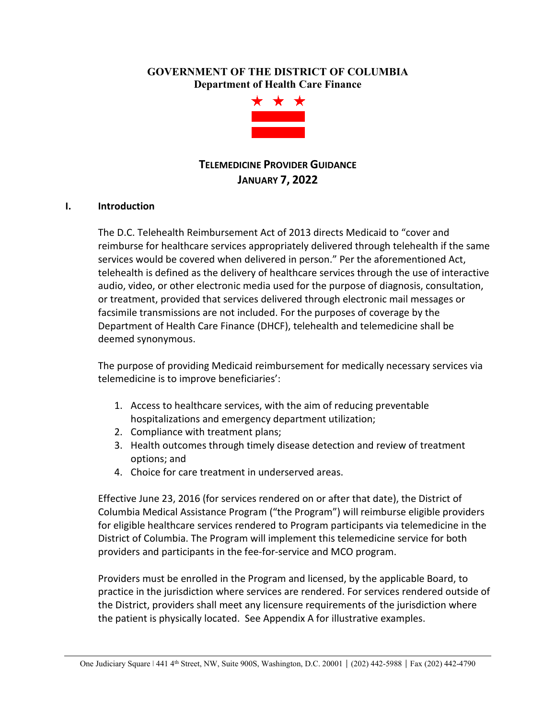## **GOVERNMENT OF THE DISTRICT OF COLUMBIA Department of Health Care Finance**



# **TELEMEDICINE PROVIDER GUIDANCE JANUARY 7, 2022**

## **I. Introduction**

The D.C. Telehealth Reimbursement Act of 2013 directs Medicaid to "cover and reimburse for healthcare services appropriately delivered through telehealth if the same services would be covered when delivered in person." Per the aforementioned Act, telehealth is defined as the delivery of healthcare services through the use of interactive audio, video, or other electronic media used for the purpose of diagnosis, consultation, or treatment, provided that services delivered through electronic mail messages or facsimile transmissions are not included. For the purposes of coverage by the Department of Health Care Finance (DHCF), telehealth and telemedicine shall be deemed synonymous.

The purpose of providing Medicaid reimbursement for medically necessary services via telemedicine is to improve beneficiaries':

- 1. Access to healthcare services, with the aim of reducing preventable hospitalizations and emergency department utilization;
- 2. Compliance with treatment plans;
- 3. Health outcomes through timely disease detection and review of treatment options; and
- 4. Choice for care treatment in underserved areas.

Effective June 23, 2016 (for services rendered on or after that date), the District of Columbia Medical Assistance Program ("the Program") will reimburse eligible providers for eligible healthcare services rendered to Program participants via telemedicine in the District of Columbia. The Program will implement this telemedicine service for both providers and participants in the fee-for-service and MCO program.

Providers must be enrolled in the Program and licensed, by the applicable Board, to practice in the jurisdiction where services are rendered. For services rendered outside of the District, providers shall meet any licensure requirements of the jurisdiction where the patient is physically located. See Appendix A for illustrative examples.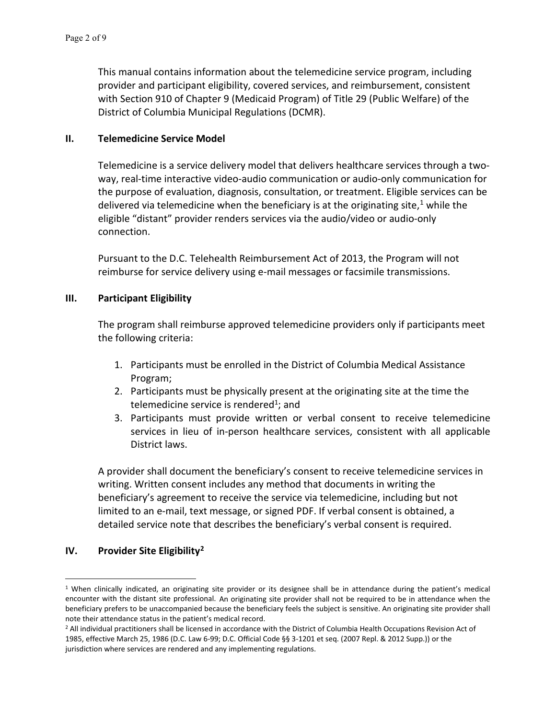This manual contains information about the telemedicine service program, including provider and participant eligibility, covered services, and reimbursement, consistent with Section 910 of Chapter 9 (Medicaid Program) of Title 29 (Public Welfare) of the District of Columbia Municipal Regulations (DCMR).

#### **II. Telemedicine Service Model**

Telemedicine is a service delivery model that delivers healthcare services through a twoway, real-time interactive video-audio communication or audio-only communication for the purpose of evaluation, diagnosis, consultation, or treatment. Eligible services can be delivered via telemedicine when the beneficiary is at the originating site, $1$  while the eligible "distant" provider renders services via the audio/video or audio-only connection.

Pursuant to the D.C. Telehealth Reimbursement Act of 2013, the Program will not reimburse for service delivery using e-mail messages or facsimile transmissions.

## **III. Participant Eligibility**

The program shall reimburse approved telemedicine providers only if participants meet the following criteria:

- 1. Participants must be enrolled in the District of Columbia Medical Assistance Program;
- 2. Participants must be physically present at the originating site at the time the telemedicine service is rendered<sup>1</sup>; and
- 3. Participants must provide written or verbal consent to receive telemedicine services in lieu of in-person healthcare services, consistent with all applicable District laws.

A provider shall document the beneficiary's consent to receive telemedicine services in writing. Written consent includes any method that documents in writing the beneficiary's agreement to receive the service via telemedicine, including but not limited to an e-mail, text message, or signed PDF. If verbal consent is obtained, a detailed service note that describes the beneficiary's verbal consent is required.

## **IV. Provider Site Eligibility[2](#page-1-1)**

<span id="page-1-0"></span><sup>1</sup> When clinically indicated, an originating site provider or its designee shall be in attendance during the patient's medical encounter with the distant site professional. An originating site provider shall not be required to be in attendance when the beneficiary prefers to be unaccompanied because the beneficiary feels the subject is sensitive. An originating site provider shall note their attendance status in the patient's medical record.<br><sup>2</sup> All individual practitioners shall be licensed in accordance with the District of Columbia Health Occupations Revision Act of

<span id="page-1-1"></span><sup>1985,</sup> effective March 25, 1986 (D.C. Law 6-99; D.C. Official Code §§ 3-1201 et seq. (2007 Repl. & 2012 Supp.)) or the jurisdiction where services are rendered and any implementing regulations.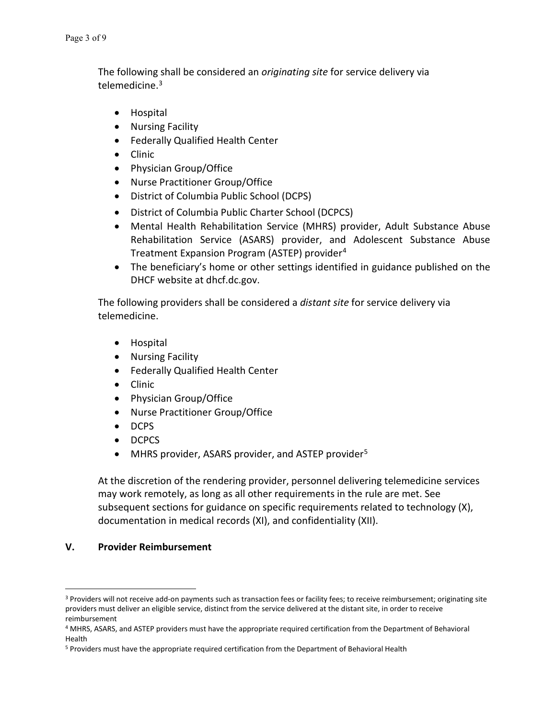The following shall be considered an *originating site* for service delivery via telemedicine.<sup>[3](#page-2-0)</sup>

- Hospital
- Nursing Facility
- Federally Qualified Health Center
- Clinic
- Physician Group/Office
- Nurse Practitioner Group/Office
- District of Columbia Public School (DCPS)
- District of Columbia Public Charter School (DCPCS)
- Mental Health Rehabilitation Service (MHRS) provider, Adult Substance Abuse Rehabilitation Service (ASARS) provider, and Adolescent Substance Abuse Treatment Expansion Program (ASTEP) provider[4](#page-2-1)
- The beneficiary's home or other settings identified in guidance published on the DHCF website at dhcf.dc.gov.

The following providers shall be considered a *distant site* for service delivery via telemedicine.

- Hospital
- Nursing Facility
- Federally Qualified Health Center
- Clinic
- Physician Group/Office
- Nurse Practitioner Group/Office
- DCPS
- DCPCS
- MHRS provider, ASARS provider, and ASTEP provider<sup>[5](#page-2-2)</sup>

At the discretion of the rendering provider, personnel delivering telemedicine services may work remotely, as long as all other requirements in the rule are met. See subsequent sections for guidance on specific requirements related to technology (X), documentation in medical records (XI), and confidentiality (XII).

## **V. Provider Reimbursement**

<span id="page-2-0"></span><sup>&</sup>lt;sup>3</sup> Providers will not receive add-on payments such as transaction fees or facility fees; to receive reimbursement; originating site providers must deliver an eligible service, distinct from the service delivered at the distant site, in order to receive reimbursement

<span id="page-2-1"></span><sup>4</sup> MHRS, ASARS, and ASTEP providers must have the appropriate required certification from the Department of Behavioral Health

<span id="page-2-2"></span><sup>5</sup> Providers must have the appropriate required certification from the Department of Behavioral Health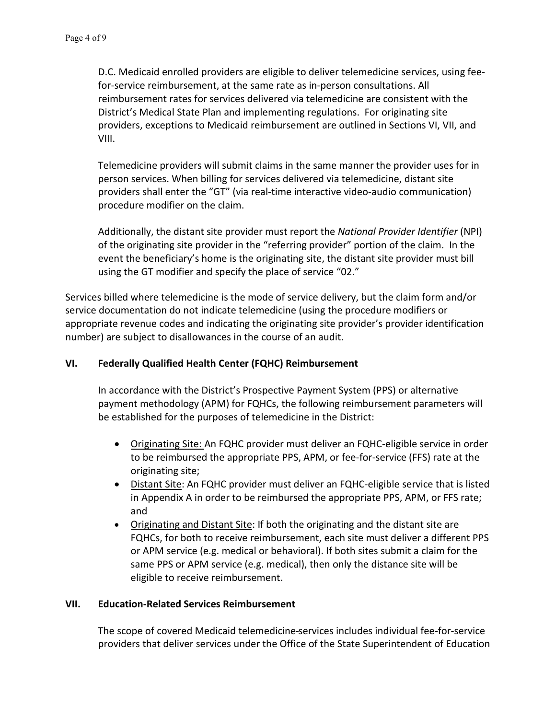D.C. Medicaid enrolled providers are eligible to deliver telemedicine services, using feefor-service reimbursement, at the same rate as in-person consultations. All reimbursement rates for services delivered via telemedicine are consistent with the District's Medical State Plan and implementing regulations. For originating site providers, exceptions to Medicaid reimbursement are outlined in Sections VI, VII, and VIII.

Telemedicine providers will submit claims in the same manner the provider uses for in person services. When billing for services delivered via telemedicine, distant site providers shall enter the "GT" (via real-time interactive video-audio communication) procedure modifier on the claim.

Additionally, the distant site provider must report the *National Provider Identifier* (NPI) of the originating site provider in the "referring provider" portion of the claim. In the event the beneficiary's home is the originating site, the distant site provider must bill using the GT modifier and specify the place of service "02."

Services billed where telemedicine is the mode of service delivery, but the claim form and/or service documentation do not indicate telemedicine (using the procedure modifiers or appropriate revenue codes and indicating the originating site provider's provider identification number) are subject to disallowances in the course of an audit.

## **VI. Federally Qualified Health Center (FQHC) Reimbursement**

In accordance with the District's Prospective Payment System (PPS) or alternative payment methodology (APM) for FQHCs, the following reimbursement parameters will be established for the purposes of telemedicine in the District:

- Originating Site: An FQHC provider must deliver an FQHC-eligible service in order to be reimbursed the appropriate PPS, APM, or fee-for-service (FFS) rate at the originating site;
- Distant Site: An FQHC provider must deliver an FQHC-eligible service that is listed in Appendix A in order to be reimbursed the appropriate PPS, APM, or FFS rate; and
- Originating and Distant Site: If both the originating and the distant site are FQHCs, for both to receive reimbursement, each site must deliver a different PPS or APM service (e.g. medical or behavioral). If both sites submit a claim for the same PPS or APM service (e.g. medical), then only the distance site will be eligible to receive reimbursement.

## **VII. Education-Related Services Reimbursement**

The scope of covered Medicaid telemedicine services includes individual fee-for-service providers that deliver services under the Office of the State Superintendent of Education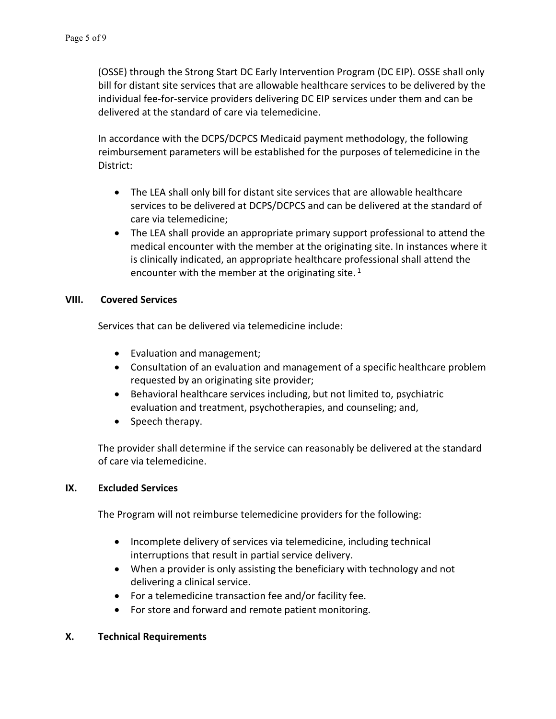(OSSE) through the Strong Start DC Early Intervention Program (DC EIP). OSSE shall only bill for distant site services that are allowable healthcare services to be delivered by the individual fee-for-service providers delivering DC EIP services under them and can be delivered at the standard of care via telemedicine.

In accordance with the DCPS/DCPCS Medicaid payment methodology, the following reimbursement parameters will be established for the purposes of telemedicine in the District:

- The LEA shall only bill for distant site services that are allowable healthcare services to be delivered at DCPS/DCPCS and can be delivered at the standard of care via telemedicine;
- The LEA shall provide an appropriate primary support professional to attend the medical encounter with the member at the originating site. In instances where it is clinically indicated, an appropriate healthcare professional shall attend the encounter with the member at the originating site.  $1$

## **VIII. Covered Services**

Services that can be delivered via telemedicine include:

- Evaluation and management;
- Consultation of an evaluation and management of a specific healthcare problem requested by an originating site provider;
- Behavioral healthcare services including, but not limited to, psychiatric evaluation and treatment, psychotherapies, and counseling; and,
- Speech therapy.

The provider shall determine if the service can reasonably be delivered at the standard of care via telemedicine.

## **IX. Excluded Services**

The Program will not reimburse telemedicine providers for the following:

- Incomplete delivery of services via telemedicine, including technical interruptions that result in partial service delivery.
- When a provider is only assisting the beneficiary with technology and not delivering a clinical service.
- For a telemedicine transaction fee and/or facility fee.
- For store and forward and remote patient monitoring.

## **X. Technical Requirements**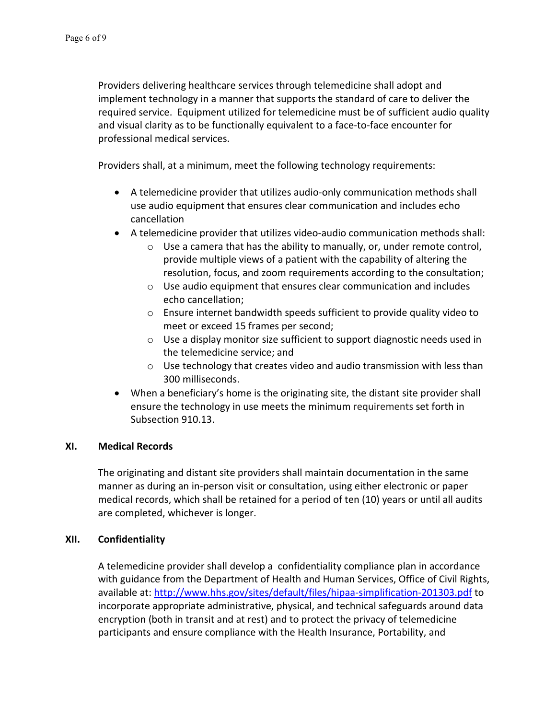Providers delivering healthcare services through telemedicine shall adopt and implement technology in a manner that supports the standard of care to deliver the required service. Equipment utilized for telemedicine must be of sufficient audio quality and visual clarity as to be functionally equivalent to a face-to-face encounter for professional medical services.

Providers shall, at a minimum, meet the following technology requirements:

- A telemedicine provider that utilizes audio-only communication methods shall use audio equipment that ensures clear communication and includes echo cancellation
- A telemedicine provider that utilizes video-audio communication methods shall:
	- $\circ$  Use a camera that has the ability to manually, or, under remote control, provide multiple views of a patient with the capability of altering the resolution, focus, and zoom requirements according to the consultation;
	- o Use audio equipment that ensures clear communication and includes echo cancellation;
	- o Ensure internet bandwidth speeds sufficient to provide quality video to meet or exceed 15 frames per second;
	- o Use a display monitor size sufficient to support diagnostic needs used in the telemedicine service; and
	- $\circ$  Use technology that creates video and audio transmission with less than 300 milliseconds.
- When a beneficiary's home is the originating site, the distant site provider shall ensure the technology in use meets the minimum requirements set forth in Subsection 910.13.

## **XI. Medical Records**

The originating and distant site providers shall maintain documentation in the same manner as during an in-person visit or consultation, using either electronic or paper medical records, which shall be retained for a period of ten (10) years or until all audits are completed, whichever is longer.

## **XII. Confidentiality**

A telemedicine provider shall develop a confidentiality compliance plan in accordance with guidance from the Department of Health and Human Services, Office of Civil Rights, available at: <http://www.hhs.gov/sites/default/files/hipaa-simplification-201303.pdf> to incorporate appropriate administrative, physical, and technical safeguards around data encryption (both in transit and at rest) and to protect the privacy of telemedicine participants and ensure compliance with the Health Insurance, Portability, and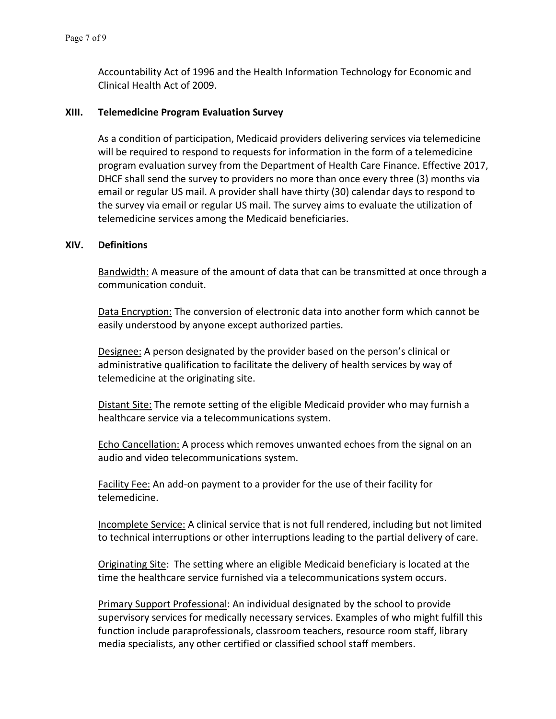Accountability Act of 1996 and the Health Information Technology for Economic and Clinical Health Act of 2009.

#### **XIII. Telemedicine Program Evaluation Survey**

As a condition of participation, Medicaid providers delivering services via telemedicine will be required to respond to requests for information in the form of a telemedicine program evaluation survey from the Department of Health Care Finance. Effective 2017, DHCF shall send the survey to providers no more than once every three (3) months via email or regular US mail. A provider shall have thirty (30) calendar days to respond to the survey via email or regular US mail. The survey aims to evaluate the utilization of telemedicine services among the Medicaid beneficiaries.

#### **XIV. Definitions**

Bandwidth: A measure of the amount of data that can be transmitted at once through a communication conduit.

Data Encryption: The conversion of electronic data into another form which cannot be easily understood by anyone except authorized parties.

Designee: A person designated by the provider based on the person's clinical or administrative qualification to facilitate the delivery of health services by way of telemedicine at the originating site.

Distant Site: The remote setting of the eligible Medicaid provider who may furnish a healthcare service via a telecommunications system.

**Echo Cancellation:** A process which removes unwanted echoes from the signal on an audio and video telecommunications system.

Facility Fee: An add-on payment to a provider for the use of their facility for telemedicine.

Incomplete Service: A clinical service that is not full rendered, including but not limited to technical interruptions or other interruptions leading to the partial delivery of care.

Originating Site: The setting where an eligible Medicaid beneficiary is located at the time the healthcare service furnished via a telecommunications system occurs.

Primary Support Professional: An individual designated by the school to provide supervisory services for medically necessary services. Examples of who might fulfill this function include paraprofessionals, classroom teachers, resource room staff, library media specialists, any other certified or classified school staff members.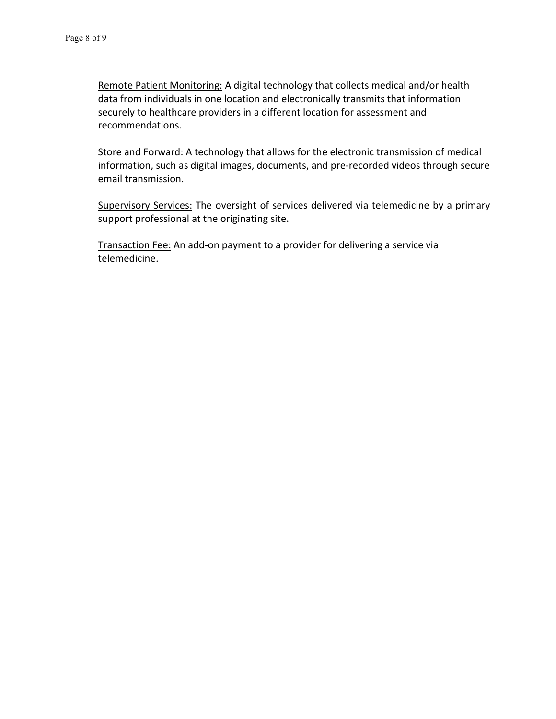Remote Patient Monitoring: A digital technology that collects medical and/or health data from individuals in one location and electronically transmits that information securely to healthcare providers in a different location for assessment and recommendations.

Store and Forward: A technology that allows for the electronic transmission of medical information, such as digital images, documents, and pre-recorded videos through secure email transmission.

Supervisory Services: The oversight of services delivered via telemedicine by a primary support professional at the originating site.

Transaction Fee: An add-on payment to a provider for delivering a service via telemedicine.